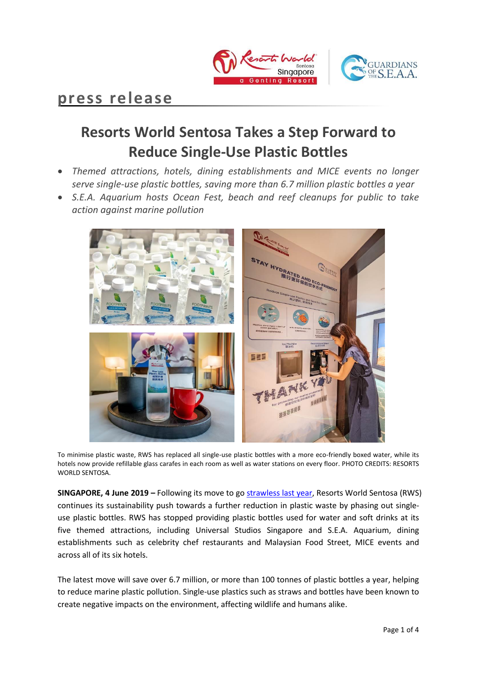

## **press release**

# **Resorts World Sentosa Takes a Step Forward to Reduce Single-Use Plastic Bottles**

- *Themed attractions, hotels, dining establishments and MICE events no longer serve single-use plastic bottles, saving more than 6.7 million plastic bottles a year*
- *S.E.A. Aquarium hosts Ocean Fest, beach and reef cleanups for public to take action against marine pollution*



To minimise plastic waste, RWS has replaced all single-use plastic bottles with a more eco-friendly boxed water, while its hotels now provide refillable glass carafes in each room as well as water stations on every floor. PHOTO CREDITS: RESORTS WORLD SENTOSA.

**SINGAPORE, 4 June 2019 –** Following its move to go [strawless last year,](https://www.rwsentosa.com/-/media/project/non-gaming/rwsentosa/press-release/pdf/en/2018/media-release-rws-goes-strawless-for-ocean-conservation.pdf) Resorts World Sentosa (RWS) continues its sustainability push towards a further reduction in plastic waste by phasing out singleuse plastic bottles. RWS has stopped providing plastic bottles used for water and soft drinks at its five themed attractions, including Universal Studios Singapore and S.E.A. Aquarium, dining establishments such as celebrity chef restaurants and Malaysian Food Street, MICE events and across all of its six hotels.

The latest move will save over 6.7 million, or more than 100 tonnes of plastic bottles a year, helping to reduce marine plastic pollution. Single-use plastics such as straws and bottles have been known to create negative impacts on the environment, affecting wildlife and humans alike.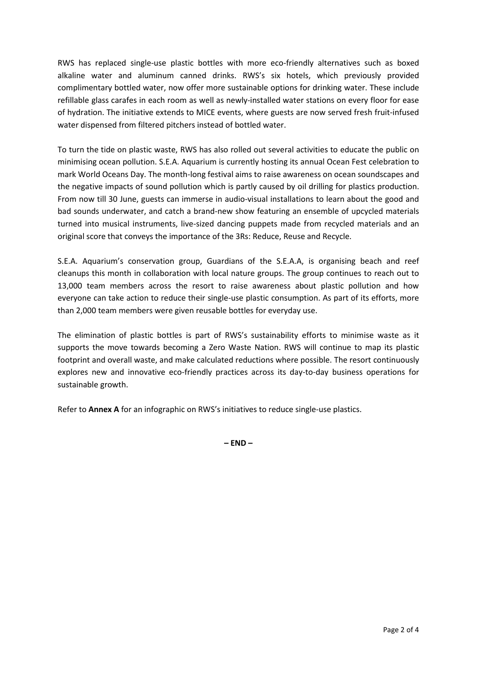RWS has replaced single-use plastic bottles with more eco-friendly alternatives such as boxed alkaline water and aluminum canned drinks. RWS's six hotels, which previously provided complimentary bottled water, now offer more sustainable options for drinking water. These include refillable glass carafes in each room as well as newly-installed water stations on every floor for ease of hydration. The initiative extends to MICE events, where guests are now served fresh fruit-infused water dispensed from filtered pitchers instead of bottled water.

To turn the tide on plastic waste, RWS has also rolled out several activities to educate the public on minimising ocean pollution. S.E.A. Aquarium is currently hosting its annual Ocean Fest celebration to mark World Oceans Day. The month-long festival aims to raise awareness on ocean soundscapes and the negative impacts of sound pollution which is partly caused by oil drilling for plastics production. From now till 30 June, guests can immerse in audio-visual installations to learn about the good and bad sounds underwater, and catch a brand-new show featuring an ensemble of upcycled materials turned into musical instruments, live-sized dancing puppets made from recycled materials and an original score that conveys the importance of the 3Rs: Reduce, Reuse and Recycle.

S.E.A. Aquarium's conservation group, Guardians of the S.E.A.A, is organising beach and reef cleanups this month in collaboration with local nature groups. The group continues to reach out to 13,000 team members across the resort to raise awareness about plastic pollution and how everyone can take action to reduce their single-use plastic consumption. As part of its efforts, more than 2,000 team members were given reusable bottles for everyday use.

The elimination of plastic bottles is part of RWS's sustainability efforts to minimise waste as it supports the move towards becoming a Zero Waste Nation. RWS will continue to map its plastic footprint and overall waste, and make calculated reductions where possible. The resort continuously explores new and innovative eco-friendly practices across its day-to-day business operations for sustainable growth.

Refer to **Annex A** for an infographic on RWS's initiatives to reduce single-use plastics.

**– END –**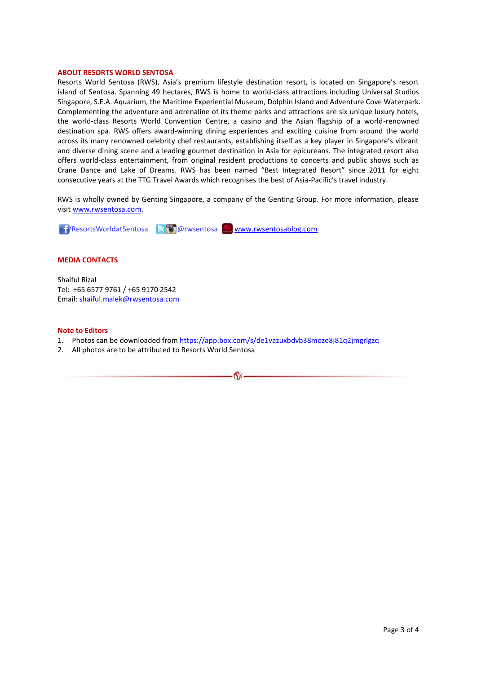#### **ABOUT RESORTS WORLD SENTOSA**

Resorts World Sentosa (RWS), Asia's premium lifestyle destination resort, is located on Singapore's resort island of Sentosa. Spanning 49 hectares, RWS is home to world-class attractions including Universal Studios Singapore, S.E.A. Aquarium, the Maritime Experiential Museum, Dolphin Island and Adventure Cove Waterpark. Complementing the adventure and adrenaline of its theme parks and attractions are six unique luxury hotels, the world-class Resorts World Convention Centre, a casino and the Asian flagship of a world-renowned destination spa. RWS offers award-winning dining experiences and exciting cuisine from around the world across its many renowned celebrity chef restaurants, establishing itself as a key player in Singapore's vibrant and diverse dining scene and a leading gourmet destination in Asia for epicureans. The integrated resort also offers world-class entertainment, from original resident productions to concerts and public shows such as Crane Dance and Lake of Dreams. RWS has been named "Best Integrated Resort" since 2011 for eight consecutive years at the TTG Travel Awards which recognises the best of Asia-Pacific's travel industry.

RWS is wholly owned by Genting Singapore, a company of the Genting Group. For more information, please visi[t www.rwsentosa.com.](http://www.rwsentosa.com/)

**11/ResortsWorldatSentosa B @** @ rwsentosa [www.rwsentosablog.com](http://www.rwsentosablog.com/)

### **MEDIA CONTACTS**

Shaiful Rizal Tel: +65 6577 9761 / +65 9170 2542 Email: [shaiful.malek@rwsentosa.com](mailto:shaiful.malek@rwsentosa.com)

#### **Note to Editors**

1. Photos can be downloaded from <https://app.box.com/s/de1vazuxbdvb38moze8j81q2jmgrlgzq>

 $\omega$ 

2. All photos are to be attributed to Resorts World Sentosa